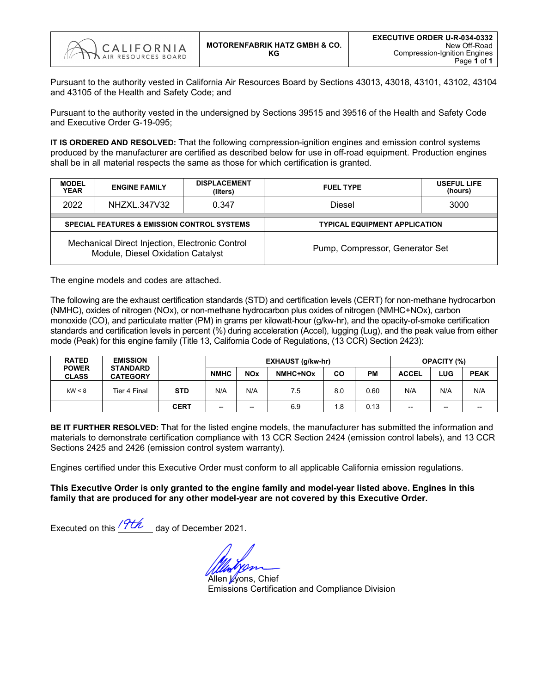

Pursuant to the authority vested in California Air Resources Board by Sections 43013, 43018, 43101, 43102, 43104 and 43105 of the Health and Safety Code; and

Pursuant to the authority vested in the undersigned by Sections 39515 and 39516 of the Health and Safety Code and Executive Order G-19-095;

**IT IS ORDERED AND RESOLVED:** That the following compression-ignition engines and emission control systems produced by the manufacturer are certified as described below for use in off-road equipment. Production engines shall be in all material respects the same as those for which certification is granted.

| <b>MODEL</b><br><b>YEAR</b> | <b>ENGINE FAMILY</b>                                                                 | <b>DISPLACEMENT</b><br>(liters) | <b>FUEL TYPE</b>                     | <b>USEFUL LIFE</b><br>(hours) |  |  |  |  |  |
|-----------------------------|--------------------------------------------------------------------------------------|---------------------------------|--------------------------------------|-------------------------------|--|--|--|--|--|
| 2022                        | NHZXL.347V32                                                                         | 0.347                           | Diesel<br>3000                       |                               |  |  |  |  |  |
|                             | SPECIAL FEATURES & EMISSION CONTROL SYSTEMS                                          |                                 | <b>TYPICAL EQUIPMENT APPLICATION</b> |                               |  |  |  |  |  |
|                             | Mechanical Direct Injection, Electronic Control<br>Module, Diesel Oxidation Catalyst |                                 | Pump, Compressor, Generator Set      |                               |  |  |  |  |  |

The engine models and codes are attached.

The following are the exhaust certification standards (STD) and certification levels (CERT) for non-methane hydrocarbon (NMHC), oxides of nitrogen (NOx), or non-methane hydrocarbon plus oxides of nitrogen (NMHC+NOx), carbon monoxide (CO), and particulate matter (PM) in grams per kilowatt-hour (g/kw-hr), and the opacity-of-smoke certification standards and certification levels in percent (%) during acceleration (Accel), lugging (Lug), and the peak value from either mode (Peak) for this engine family (Title 13, California Code of Regulations, (13 CCR) Section 2423):

| <b>RATED</b>                 | <b>EMISSION</b>                    |             |                           |                          | EXHAUST (g/kw-hr) |             | <b>OPACITY (%)</b> |                          |       |                          |  |
|------------------------------|------------------------------------|-------------|---------------------------|--------------------------|-------------------|-------------|--------------------|--------------------------|-------|--------------------------|--|
| <b>POWER</b><br><b>CLASS</b> | <b>STANDARD</b><br><b>CATEGORY</b> |             | <b>NMHC</b><br><b>NOx</b> |                          | NMHC+NOx          | CO          | PМ                 | <b>ACCEL</b>             | LUG   | <b>PEAK</b>              |  |
| kW < 8                       | <b>STD</b><br>Tier 4 Final         |             | N/A                       | N/A                      | 7.5               | 0.60<br>8.0 |                    | N/A<br>N/A               |       | N/A                      |  |
|                              |                                    | <b>CERT</b> | $\overline{\phantom{a}}$  | $\overline{\phantom{m}}$ | 6.9               | 1.8         | 0.13               | $\overline{\phantom{a}}$ | $- -$ | $\overline{\phantom{m}}$ |  |

**BE IT FURTHER RESOLVED:** That for the listed engine models, the manufacturer has submitted the information and materials to demonstrate certification compliance with 13 CCR Section 2424 (emission control labels), and 13 CCR Sections 2425 and 2426 (emission control system warranty).

Engines certified under this Executive Order must conform to all applicable California emission regulations.

**This Executive Order is only granted to the engine family and model-year listed above. Engines in this family that are produced for any other model-year are not covered by this Executive Order.**

Executed on this  $\frac{9th}{4}$  day of December 2021.

Allen Wons, Chief Emissions Certification and Compliance Division